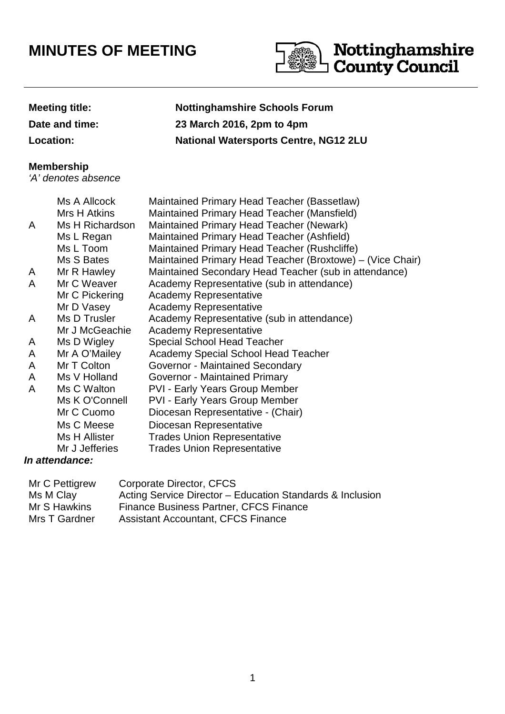## **MINUTES OF MEETING**



## **Meeting title: Nottinghamshire Schools Forum Date and time: 23 March 2016, 2pm to 4pm Location: National Watersports Centre, NG12 2LU**

## **Membership**

'A' denotes absence

|   | Ms A Allcock    | Maintained Primary Head Teacher (Bassetlaw)               |
|---|-----------------|-----------------------------------------------------------|
|   | Mrs H Atkins    | Maintained Primary Head Teacher (Mansfield)               |
| A | Ms H Richardson | Maintained Primary Head Teacher (Newark)                  |
|   | Ms L Regan      | Maintained Primary Head Teacher (Ashfield)                |
|   | Ms L Toom       | Maintained Primary Head Teacher (Rushcliffe)              |
|   | Ms S Bates      | Maintained Primary Head Teacher (Broxtowe) – (Vice Chair) |
| A | Mr R Hawley     | Maintained Secondary Head Teacher (sub in attendance)     |
| A | Mr C Weaver     | Academy Representative (sub in attendance)                |
|   | Mr C Pickering  | <b>Academy Representative</b>                             |
|   | Mr D Vasey      | <b>Academy Representative</b>                             |
| A | Ms D Trusler    | Academy Representative (sub in attendance)                |
|   | Mr J McGeachie  | <b>Academy Representative</b>                             |
| A | Ms D Wigley     | <b>Special School Head Teacher</b>                        |
| A | Mr A O'Mailey   | Academy Special School Head Teacher                       |
| A | Mr T Colton     | Governor - Maintained Secondary                           |
| A | Ms V Holland    | Governor - Maintained Primary                             |
| A | Ms C Walton     | <b>PVI - Early Years Group Member</b>                     |
|   | Ms K O'Connell  | <b>PVI - Early Years Group Member</b>                     |
|   | Mr C Cuomo      | Diocesan Representative - (Chair)                         |
|   | Ms C Meese      | Diocesan Representative                                   |
|   | Ms H Allister   | <b>Trades Union Representative</b>                        |
|   | Mr J Jefferies  | <b>Trades Union Representative</b>                        |
|   |                 |                                                           |

## **In attendance:**

| Mr C Pettigrew | Corporate Director, CFCS                                  |
|----------------|-----------------------------------------------------------|
| Ms M Clay      | Acting Service Director – Education Standards & Inclusion |
| Mr S Hawkins   | Finance Business Partner, CFCS Finance                    |
| Mrs T Gardner  | <b>Assistant Accountant, CFCS Finance</b>                 |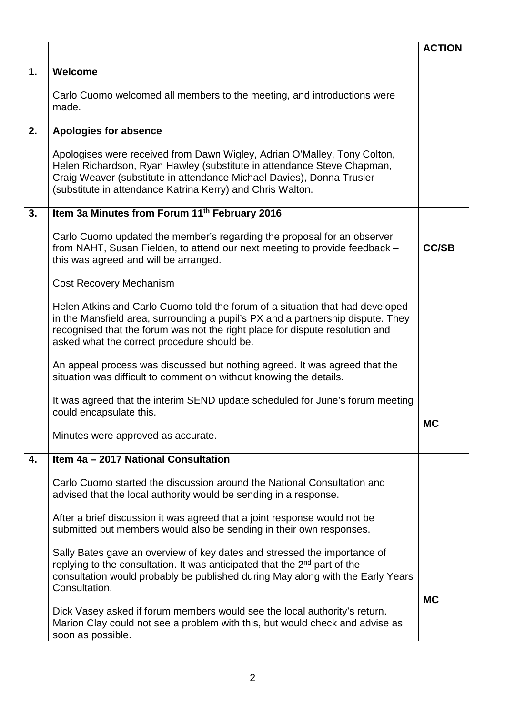|    |                                                                                                                                                                                                                                                                                                 | <b>ACTION</b> |
|----|-------------------------------------------------------------------------------------------------------------------------------------------------------------------------------------------------------------------------------------------------------------------------------------------------|---------------|
| 1. | Welcome                                                                                                                                                                                                                                                                                         |               |
|    | Carlo Cuomo welcomed all members to the meeting, and introductions were<br>made.                                                                                                                                                                                                                |               |
| 2. | <b>Apologies for absence</b>                                                                                                                                                                                                                                                                    |               |
|    | Apologises were received from Dawn Wigley, Adrian O'Malley, Tony Colton,<br>Helen Richardson, Ryan Hawley (substitute in attendance Steve Chapman,<br>Craig Weaver (substitute in attendance Michael Davies), Donna Trusler<br>(substitute in attendance Katrina Kerry) and Chris Walton.       |               |
| 3. | Item 3a Minutes from Forum 11th February 2016                                                                                                                                                                                                                                                   |               |
|    | Carlo Cuomo updated the member's regarding the proposal for an observer<br>from NAHT, Susan Fielden, to attend our next meeting to provide feedback -<br>this was agreed and will be arranged.                                                                                                  | <b>CC/SB</b>  |
|    | <b>Cost Recovery Mechanism</b>                                                                                                                                                                                                                                                                  |               |
|    | Helen Atkins and Carlo Cuomo told the forum of a situation that had developed<br>in the Mansfield area, surrounding a pupil's PX and a partnership dispute. They<br>recognised that the forum was not the right place for dispute resolution and<br>asked what the correct procedure should be. |               |
|    | An appeal process was discussed but nothing agreed. It was agreed that the<br>situation was difficult to comment on without knowing the details.                                                                                                                                                |               |
|    | It was agreed that the interim SEND update scheduled for June's forum meeting<br>could encapsulate this.                                                                                                                                                                                        | МC            |
|    | Minutes were approved as accurate.                                                                                                                                                                                                                                                              |               |
| 4. | Item 4a - 2017 National Consultation                                                                                                                                                                                                                                                            |               |
|    | Carlo Cuomo started the discussion around the National Consultation and<br>advised that the local authority would be sending in a response.                                                                                                                                                     |               |
|    | After a brief discussion it was agreed that a joint response would not be<br>submitted but members would also be sending in their own responses.                                                                                                                                                |               |
|    | Sally Bates gave an overview of key dates and stressed the importance of<br>replying to the consultation. It was anticipated that the 2 <sup>nd</sup> part of the<br>consultation would probably be published during May along with the Early Years<br>Consultation.                            | <b>MC</b>     |
|    | Dick Vasey asked if forum members would see the local authority's return.<br>Marion Clay could not see a problem with this, but would check and advise as<br>soon as possible.                                                                                                                  |               |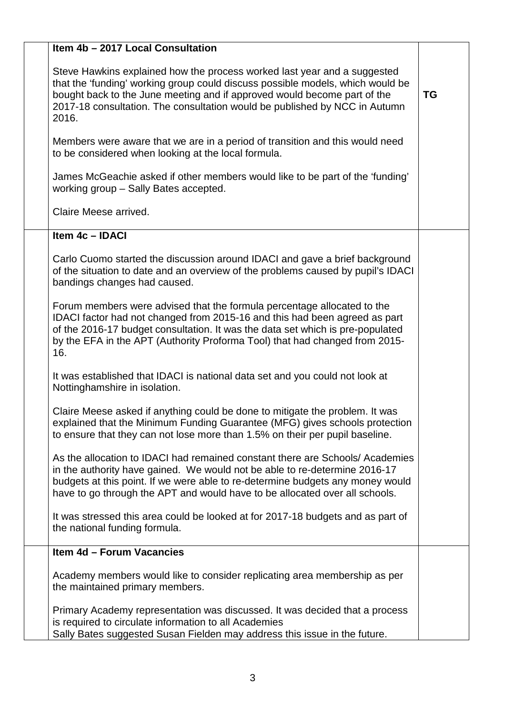| Item 4b - 2017 Local Consultation                                                                                                                                                                                                                                                                                             |           |
|-------------------------------------------------------------------------------------------------------------------------------------------------------------------------------------------------------------------------------------------------------------------------------------------------------------------------------|-----------|
| Steve Hawkins explained how the process worked last year and a suggested<br>that the 'funding' working group could discuss possible models, which would be<br>bought back to the June meeting and if approved would become part of the<br>2017-18 consultation. The consultation would be published by NCC in Autumn<br>2016. | <b>TG</b> |
| Members were aware that we are in a period of transition and this would need<br>to be considered when looking at the local formula.                                                                                                                                                                                           |           |
| James McGeachie asked if other members would like to be part of the 'funding'<br>working group - Sally Bates accepted.                                                                                                                                                                                                        |           |
| Claire Meese arrived.                                                                                                                                                                                                                                                                                                         |           |
| Item 4c - IDACI                                                                                                                                                                                                                                                                                                               |           |
| Carlo Cuomo started the discussion around IDACI and gave a brief background<br>of the situation to date and an overview of the problems caused by pupil's IDACI<br>bandings changes had caused.                                                                                                                               |           |
| Forum members were advised that the formula percentage allocated to the<br>IDACI factor had not changed from 2015-16 and this had been agreed as part<br>of the 2016-17 budget consultation. It was the data set which is pre-populated<br>by the EFA in the APT (Authority Proforma Tool) that had changed from 2015-<br>16. |           |
| It was established that IDACI is national data set and you could not look at<br>Nottinghamshire in isolation.                                                                                                                                                                                                                 |           |
| Claire Meese asked if anything could be done to mitigate the problem. It was<br>explained that the Minimum Funding Guarantee (MFG) gives schools protection<br>to ensure that they can not lose more than 1.5% on their per pupil baseline.                                                                                   |           |
| As the allocation to IDACI had remained constant there are Schools/Academies<br>in the authority have gained. We would not be able to re-determine 2016-17<br>budgets at this point. If we were able to re-determine budgets any money would<br>have to go through the APT and would have to be allocated over all schools.   |           |
| It was stressed this area could be looked at for 2017-18 budgets and as part of<br>the national funding formula.                                                                                                                                                                                                              |           |
| Item 4d - Forum Vacancies                                                                                                                                                                                                                                                                                                     |           |
| Academy members would like to consider replicating area membership as per<br>the maintained primary members.                                                                                                                                                                                                                  |           |
| Primary Academy representation was discussed. It was decided that a process<br>is required to circulate information to all Academies<br>Sally Bates suggested Susan Fielden may address this issue in the future.                                                                                                             |           |